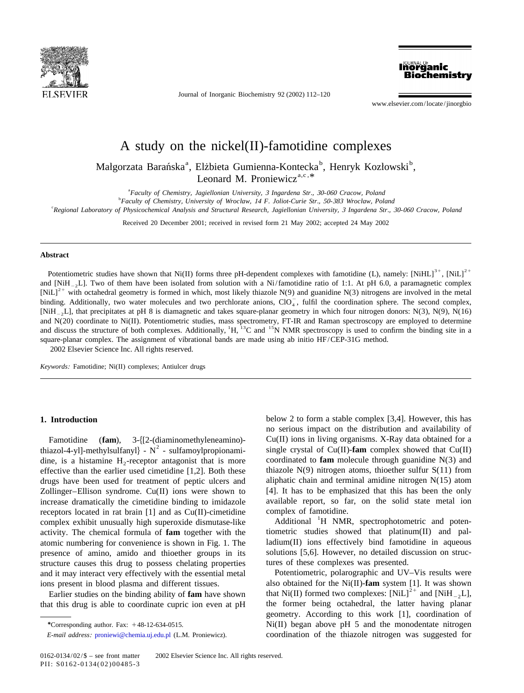

Journal of Inorganic Biochemistry 92 (2002) 112–120

**Biochemistry** 

www.elsevier.com/locate/jinorgbio

**Inorganic** 

# A study on the nickel(II)-famotidine complexes

Malgorzata Barańska<sup>a</sup>, Elżbieta Gumienna-Kontecka<sup>b</sup>, Henryk Kozłowski<sup>b</sup>, Leonard M. Proniewicz<sup>a,c, \*</sup>

a *Faculty of Chemistry*, *Jagiellonian University*, <sup>3</sup> *Ingardena Str*., <sup>30</sup>-<sup>060</sup> *Cracow*, *Poland* <sup>b</sup> Faculty of Chemistry, University of Wrocław, 14 F. Joliot-Curie Str., 50-383 Wrocław, Poland

c *Regional Laboratory of Physicochemical Analysis and Structural Research*, *Jagiellonian University*, <sup>3</sup> *Ingardena Str*., <sup>30</sup>-<sup>060</sup> *Cracow*, *Poland*

Received 20 December 2001; received in revised form 21 May 2002; accepted 24 May 2002

## **Abstract**

Potentiometric studies have shown that Ni(II) forms three pH-dependent complexes with famotidine (L), namely:  $[NiHL]$ <sup>2+</sup>,  $[NiL]$ <sup>2+</sup> and [NiH<sub>-2</sub>L]. Two of them have been isolated from solution with a Ni/famotidine ratio of 1:1. At pH 6.0, a paramagnetic complex [NiL]<sup>2+</sup> with octahedral geometry is formed in which, most likely thiazole N(9) and guanid [NiH<sub>-2</sub>L], that precipitates at pH 8 is diamagnetic and takes square-planar geometry in which four nitrogen donors: N(3), N(9), N(16) and N(20) coordinate to Ni(II). Potentiometric studies, mass spectrometry, FT-IR and R and discuss the structure of both complexes. Additionally,  ${}^{1}H$ ,  ${}^{13}C$  and  ${}^{15}N$  NMR spectroscopy is used to confirm the binding site in a square-planar complex. The assignment of vibrational bands are made using ab initio HF/CEP-31G method. 2002 Elsevier Science Inc. All rights reserved.

*Keywords*: Famotidine; Ni(II) complexes; Antiulcer drugs

dine, is a histamine  $H_2$ -receptor antagonist that is more coordinated to **fam** molecule through guanidine N(3) and effective than the earlier used cimetidine [1.2]. Both these thiazole N(9) nitrogen atoms, thioether sul effective than the earlier used cimetidine  $[1,2]$ . Both these drugs have been used for treatment of peptic ulcers and aliphatic chain and terminal amidine nitrogen N(15) atom Zollinger–Ellison syndrome.  $Cu(II)$  ions were shown to [4]. It has to be emphasized that this has been the only increase dramatically the cimetidine binding to imidazole available report, so far, on the solid state metal ion receptors located in rat brain [1] and as  $Cu(II)$ -cimetidine complex of famotidine.<br>
complex exhibit unusually high superoxide dismutase-like Additional  $^{1}$ H NMR, spectrophotometric and potenactivity. The chemical formula of **fam** together with the tiometric studies showed that platinum(II) and palatomic numbering for convenience is shown in Fig. 1. The ladium(II) ions effectively bind famotidine in aqueous presence of amino, amido and thioether groups in its solutions [5,6]. However, no detailed discussion on strucstructure causes this drug to possess chelating properties tures of these complexes was presented. and it may interact very effectively with the essential metal Potentiometric, polarographic and UV–Vis results were

**1. Introduction** below 2 to form a stable complex [3,4]. However, this has no serious impact on the distribution and availability of Famotidine (fam), 3-{[2-(diaminomethyleneamino)-<br>thiazol-4-yl]-methylsulfanyl} - N<sup>2</sup> - sulfamoylpropionami-<br>single crystal of Cu(II)-fam complex showed that Cu(II)-<br> $N^2$  - sulfamoylpropionami-<br>single crystal of Cu(II)-f

ions present in blood plasma and different tissues.<br>
Earlier studies on the binding ability of **fam** have shown that Ni(II) formed two complexes: [NiL]<sup>2+</sup> and [NiH<sub>-2</sub>L], that this drug is able to coordinate cupric ion even at pH the former being octahedral, the latter having planar geometry. According to this work [1], coordination of *\**Corresponding author. Fax: 148-12-634-0515. Ni(II) began above pH 5 and the monodentate nitrogen *E*-*mail address*: [proniewi@chemia.uj.edu.pl](mailto:proniewi@chemia.uj.edu.pl) (L.M. Proniewicz). coordination of the thiazole nitrogen was suggested for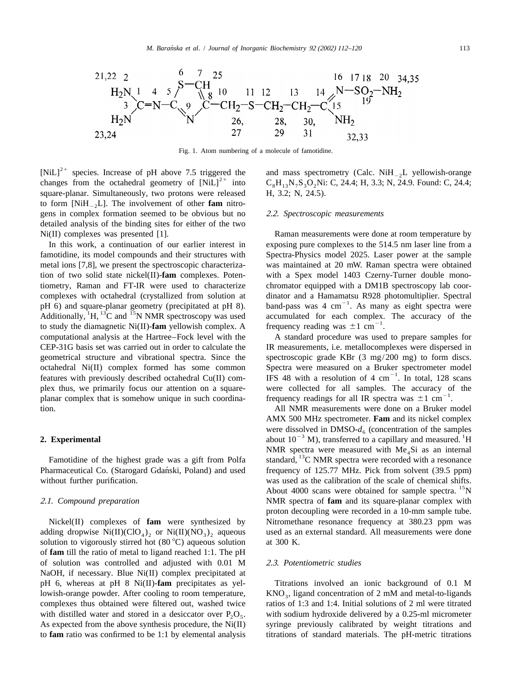

Fig. 1. Atom numbering of a molecule of famotidine.

square-planar. Simultaneously, two protons were released to form  $[NiH_{2}L]$ . The involvement of other **fam** nitrogens in complex formation seemed to be obvious but no 2 .2. *Spectroscopic measurements* detailed analysis of the binding sites for either of the two Ni(II) complexes was presented [1]. Raman measurements were done at room temperature by

famotidine, its model compounds and their structures with Spectra-Physics model 2025. Laser power at the sample metal ions [7,8], we present the spectroscopic characteriza- was maintained at 20 mW. Raman spectra were obtained tion of two solid state nickel(II)-**fam** complexes. Poten- with a Spex model 1403 Czerny-Turner double monotiometry, Raman and FT-IR were used to characterize chromator equipped with a DM1B spectroscopy lab coorcomplexes with octahedral (crystallized from solution at dinator and a Hamamatsu R928 photomultiplier. Spectral<br>pH 6) and square-planar geometry (precipitated at pH 8). <br>Additionally,  ${}^{1}H$ ,  ${}^{13}C$  and  ${}^{15}N$  NMR sp computational analysis at the Hartree–Fock level with the A standard procedure was used to prepare samples for tion. All NMR measurements were done on a Bruker model

Pharmaceutical Co. (Starogard Gdański, Poland) and used frequency of 125.77 MHz. Pick from solvent (39.5 ppm)

adding dropwise  $Ni(II)(ClO<sub>4</sub>)<sub>2</sub>$  or  $Ni(II)(NO<sub>3</sub>)<sub>2</sub>$  aqueous used as an external standard. All measurements were done solution to vigorously stirred hot (80 °C) aqueous solution at 300 K. solution to vigorously stirred hot  $(80 °C)$  aqueous solution of **fam** till the ratio of metal to ligand reached 1:1. The pH of solution was controlled and adjusted with 0.01 M 2 .3. *Potentiometric studies* NaOH, if necessary. Blue Ni(II) complex precipitated at pH 6, whereas at pH 8 Ni(II)-**fam** precipitates as yel- Titrations involved an ionic background of 0.1 M lowish-orange powder. After cooling to room temperature, KNO<sub>3</sub>, ligand concentration of 2 mM and metal-to-ligands complexes thus obtained were filtered out, washed twice ratios of 1:3 and 1:4. Initial solutions of 2 ml were titrated with distilled water and stored in a desiccator over  $P_2O_5$ . with sodium hydroxide delivered by a 0.25-ml micrometer As expected from the above synthesis procedure, the  $Ni(II)$  syringe previously calibrated by weight titrations and to **fam** ratio was confirmed to be 1:1 by elemental analysis titrations of standard materials. The pH-metric titrations

[NiL]<sup>2+</sup> species. Increase of pH above 7.5 triggered the and mass spectrometry (Calc. NiH<sub>-2</sub>L yellowish-orange changes from the octahedral geometry of [NiL]<sup>2+</sup> into  $C_8H_{13}N_7S_3O_2Ni$ : C, 24.4; H, 3.3; N, 24.9. Found

In this work, a continuation of our earlier interest in exposing pure complexes to the 514.5 nm laser line from a

CEP-31G basis set was carried out in order to calculate the IR measurements, i.e. metallocomplexes were dispersed in geometrical structure and vibrational spectra. Since the spectroscopic grade KBr (3 mg/200 mg) to form discs. octahedral Ni(II) complex formed has some common Spectra were measured on a Bruker spectrometer model features with previously described octahedral Cu(II) com- IFS 48 with a resolution of 4 cm<sup>-1</sup>. In total, 128 scans plex thus, we primarily focus our attention on a square-<br>planar complex that is somehow unique in such coordina-<br>frequency readings for all IR spectra was  $\pm 1$  cm<sup>-1</sup>.

AMX 500 MHz spectrometer. **Fam** and its nickel complex **2. Experimental** were dissolved in DMSO- $d_6$  (concentration of the samples about  $10^{-3}$  M), transferred to a capillary and measured. <sup>1</sup>H NMR spectra were measured with Me<sub>4</sub>Si as an internal Famotidine of the highest grade was a gift from Polfa standard, <sup>13</sup>C NMR spectra were recorded with a resonance without further purification. was used as the calibration of the scale of chemical shifts.<br>About 4000 scans were obtained for sample spectra. <sup>15</sup>N 2 .1. *Compound preparation* NMR spectra of **fam** and its square-planar complex with proton decoupling were recorded in a 10-mm sample tube. Nickel(II) complexes of **fam** were synthesized by Nitromethane resonance frequency at 380.23 ppm was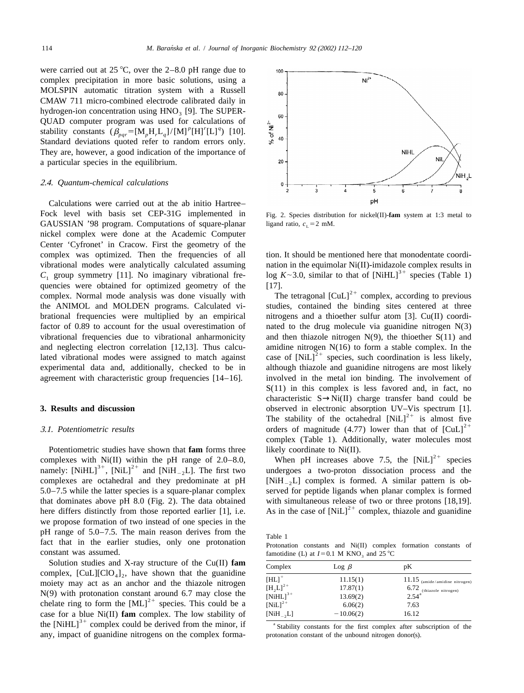were carried out at 25  $^{\circ}$ C, over the 2–8.0 pH range due to complex precipitation in more basic solutions, using a MOLSPIN automatic titration system with a Russell CMAW 711 micro-combined electrode calibrated daily in hydrogen-ion concentration using  $HNO<sub>3</sub>$  [9]. The SUPER-<br>QUAD computer program was used for calculations of stability constants  $(\beta_{\textit{par}} = [M_{\textit{p}}H_{\textit{r}}L_{\textit{q}}]/[M]$ <sup>p</sup> $[H]$ <sup>r</sup> $[L]$ <sup>q</sup> $)$  [10]. Standard deviations quoted refer to random errors only. They are, however, a good indication of the importance of a particular species in the equilibrium.

### 2 .4. *Quantum*-*chemical calculations*

Calculations were carried out at the ab initio Hartree– Fock level with basis set CEP-31G implemented in Fig. 2. Species distribution for nickel(II)-fam system at 1:3 metal to GAUSSIAN '98 program. Computations of square-planar ligand ratio,  $c_1 = 2$  mM. nickel complex were done at the Academic Computer Center 'Cyfronet' in Cracow. First the geometry of the complex was optimized. Then the frequencies of all tion. It should be mentioned here that monodentate coordivibrational modes were analytically calculated assuming nation in the equimolar Ni(II)-imidazole complex results in  $C_1$  group symmetry [11]. No imaginary vibrational fre-<br>quencies were obtained for optimized geometry of complex. Normal mode analysis was done visually with The tetragonal  $\text{[CuL]}^{2+}$  complex, according to previous the ANIMOL and MOLDEN programs. Calculated vi- studies, contained the binding sites centered at three brational frequencies were multiplied by an empirical nitrogens and a thioether sulfur atom [3]. Cu(II) coordifactor of 0.89 to account for the usual overestimation of nated to the drug molecule via guanidine nitrogen N(3) vibrational frequencies due to vibrational anharmonicity and then thiazole nitrogen  $N(9)$ , the thioether  $S(11)$  and and neglecting electron correlation [12,13]. Thus calcu-<br>lated vibrational modes were assigned to match against case of  $[NiL]^{2+}$  species, such coordination is less likely, experimental data and, additionally, checked to be in although thiazole and guanidine nitrogens are most likely agreement with characteristic group frequencies [14–16]. involved in the metal ion binding. The involvement of

Potentiometric studies have shown that **fam** forms three likely coordinate to Ni(II).<br>
complexes with Ni(II) within the pH range of 2.0–8.0, When pH increases above 7.5, the  $[NiL]^{2+}$  species<br>
namely:  $[NiHL]^{3+}$ ,  $[NiL]^{$  $5.0-7.5$  while the latter species is a square-planar complex that dominates above pH 8.0 (Fig. 2). The data obtained with simultaneous release of two or three protons [18,19].<br>here differs distinctly from those reported earlier [1], i.e. As in the case of  $[NiL]^{2+}$  complex, thiazo we propose formation of two instead of one species in the pH range of  $5.0-7.5$ . The main reason derives from the Table 1 fact that in the earlier studies, only one protonation Protonation constants and Ni(II) complex formation constants of constant was assumed.<br>
famotidine (I.) at  $I = 0.1$  M KNO, and 25 °C

Solution studies and X-ray structure of the Cu(II) fam complex,  $[CuL][ClO<sub>4</sub>]<sub>2</sub>$ , have shown that the guanidine moiety may act as an anchor and the thiazole nitrogen N(9) with protonation constant around 6.7 may close the chelate ring to form the  $[ML]$ <sup>2+</sup> species. This could be a case for a blue  $Ni(II)$  fam complex. The low stability of the  $[NiHL]^3$ <sup>+</sup> complex could be derived from the minor, if  $\overline{S}$  stability constants for the first complex after subscription of the any, impact of guanidine nitrogens on the complex forma- protonation constant of the unbound nitrogen donor(s).



 $S(11)$  in this complex is less favored and, in fact, no characteristic  $S \rightarrow Ni(II)$  charge transfer band could be **3. Results and discussion** observed in electronic absorption UV-Vis spectrum [1].<br>
The stability of the octahedral  $[NiL]^{2+}$  is almost five orders of magnitude (4.77) lower than that of  $|CuL|^{2+}$ complex (Table 1). Additionally, water molecules most

[NiH<sub>-2</sub>L] complex is formed. A similar pattern is observed for peptide ligands when planar complex is formed.

famotidine (L) at  $I=0.1$  M KNO<sub>3</sub> and 25 °C

| Complex                | $\text{Log }\beta$ | pК                               |
|------------------------|--------------------|----------------------------------|
| $[HL]$ <sup>+</sup>    | 11.15(1)           | $11.15$ (amide/amidine nitrogen) |
| $[H_2L]^{2+}$          | 17.87(1)           | $6.72$ (thiazole nitrogen)       |
| $[NiHL]$ <sup>3+</sup> | 13.69(2)           | $2.54^{\circ}$                   |
| $[NiL]^{2+}$           | 6.06(2)            | 7.63                             |
| $[NiH_{-2}L]$          | $-10.06(2)$        | 16.12                            |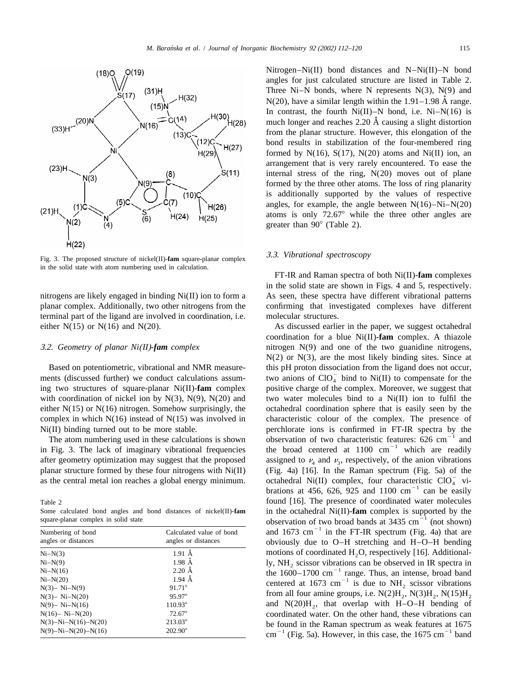

3 .3. *Vibrational spectroscopy* Fig. 3. The proposed structure of nickel(II)-**fam** square-planar complex in the solid state with atom numbering used in calculation.

planar complex. Additionally, two other nitrogens from the confirming that investigated complexes have different terminal part of the ligand are involved in coordination, i.e. molecular structures. either N(15) or N(16) and N(20). As discussed earlier in the paper, we suggest octahedral

| Numbering of bond<br>angles or distances | Calculated value of bond<br>angles or distances |  |  |  |
|------------------------------------------|-------------------------------------------------|--|--|--|
| $Ni-N(3)$                                | $1.91 \text{ Å}$                                |  |  |  |
| $Ni-N(9)$                                | $1.98$ $\AA$                                    |  |  |  |
| $Ni-N(16)$                               | $2.20 \text{ Å}$                                |  |  |  |
| $Ni-N(20)$                               | $1.94 \text{ Å}$                                |  |  |  |
| $N(3) - Ni-N(9)$                         | $91.71^{\circ}$                                 |  |  |  |
| $N(3) - Ni-N(20)$                        | $95.97^{\circ}$                                 |  |  |  |
| $N(9) - Ni-N(16)$                        | $110.93^{\circ}$                                |  |  |  |
| $N(16) - Ni-N(20)$                       | $72.67^{\circ}$                                 |  |  |  |
| $N(3) - Ni - N(16) - N(20)$              | $213.03^{\circ}$                                |  |  |  |
| $N(9) - Ni - N(20) - N(16)$              | $202.90^{\circ}$                                |  |  |  |

Nitrogen–Ni(II) bond distances and N–Ni(II)–N bond angles for just calculated structure are listed in Table 2. Three Ni–N bonds, where N represents  $N(3)$ ,  $N(9)$  and  $N(20)$ , have a similar length within the  $1.91-1.98$  Å range. In contrast, the fourth  $Ni(II) - N$  bond, i.e.  $Ni - N(16)$  is much longer and reaches 2.20 Å causing a slight distortion from the planar structure. However, this elongation of the bond results in stabilization of the four-membered ring formed by  $N(16)$ ,  $S(17)$ ,  $N(20)$  atoms and  $Ni(II)$  ion, an arrangement that is very rarely encountered. To ease the internal stress of the ring,  $N(20)$  moves out of plane formed by the three other atoms. The loss of ring planarity is additionally supported by the values of respective angles, for example, the angle between  $N(16) - Ni - N(20)$ atoms is only  $72.67^{\circ}$  while the three other angles are greater than  $90^{\circ}$  (Table 2).

FT-IR and Raman spectra of both Ni(II)-**fam** complexes in the solid state are shown in Figs. 4 and 5, respectively. nitrogens are likely engaged in binding Ni(II) ion to form a As seen, these spectra have different vibrational patterns

coordination for a blue Ni(II)-**fam** complex. A thiazole 3 .2. *Geometry of planar Ni*(*II*)-*fam complex* nitrogen N(9) and one of the two guanidine nitrogens,  $N(2)$  or  $N(3)$ , are the most likely binding sites. Since at Based on potentiometric, vibrational and NMR measure-<br>this pH proton dissociation from the ligand does not occur,<br>ments (discussed further) we conduct calculations assum-<br>two anions of  $ClO<sub>A</sub><sup>-</sup>$  bind to Ni(II) to co ing two structures of square-planar Ni(II)-**fam** complex positive charge of the complex. Moreover, we suggest that with coordination of nickel ion by  $N(3)$ ,  $N(9)$ ,  $N(20)$  and two water molecules bind to a  $N(iII)$  ion to fulfil the either  $N(15)$  or  $N(16)$  nitrogen. Somehow surprisingly, the octahedral coordination sphere that is easily seen by the complex in which N(16) instead of N(15) was involved in characteristic colour of the complex. The presence of Ni(II) binding turned out to be more stable. perchlorate ions is confirmed in FT-IR spectra by the<br>The atom numbering used in these calculations is shown<br>in Fig. 3. The lack of imaginary vibrational frequencies the broad after geometry optimization may suggest that the proposed assigned to  $\nu_4$  and  $\nu_3$ , respectively, of the anion vibrations planar structure formed by these four nitrogens with Ni(II) (Fig. 4a) [16]. In the Raman spect as the central metal ion reaches a global energy minimum. octahedral Ni(II) complex, four characteristic  $ClO_4^-$  vibrations at 456, 626, 925 and 1100 cm<sup>-1</sup> can be easily Table 2 found [16]. The presence of coordinated water molecules Some calculated bond angles and bond distances of nickel(II)-**fam** in the octahedral Ni(II)-**fam** complex is supported by the square-planar complex in solid state observation of two broad bands at 3435 cm<sup>-1</sup> (not shown)<br> obviously due to  $O-H$  stretching and  $H-O-H$  bending motions of coordinated  $H_2O$ , respectively [16]. Additionally, NH<sub>2</sub> scissor vibrations can be observed in IR spectra in the  $1600-1700 \text{ cm}^{-1}$  range. Thus, an intense, broad band centered at 1673 cm<sup> $^{-1}$ </sup> is due to NH<sub>2</sub> scissor vibrations from all four amine groups, i.e.  $N(2)H_2$ ,  $N(3)H_2$ ,  $N(15)H_2$ and  $N(20)H_2$ , that overlap with H–O–H bending of coordinated water. On the other hand, these vibrations can be found in the Raman spectrum as weak features at 1675 cm<sup>-1</sup> (Fig. 5a). However, in this case, the 1675 cm<sup>-1</sup> band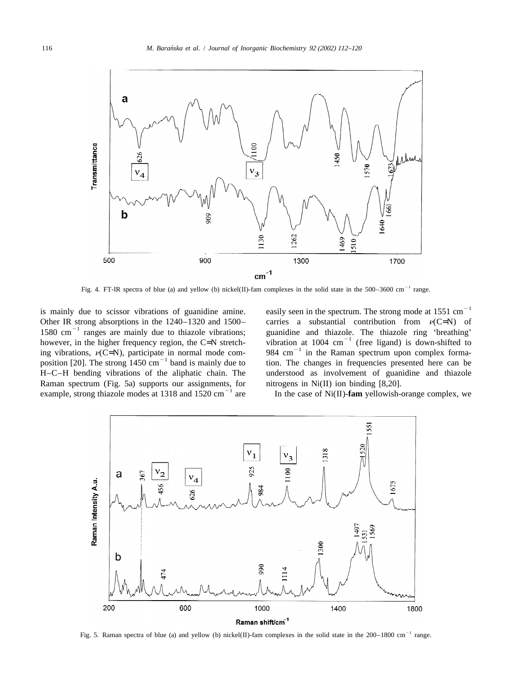![](_page_4_Figure_2.jpeg)

Fig. 4. FT-IR spectra of blue (a) and yellow (b) nickel(II)-fam complexes in the solid state in the  $500-3600$  cm<sup>-1</sup> range.

is mainly due to scissor vibrations of guanidine amine. easily seen in the spectrum. The strong mode at  $1551 \text{ cm}^{-1}$ Other IR strong absorptions in the 1240–1320 and 1500–<br>1580 cm<sup>-1</sup> ranges are mainly due to thiazole vibrations;<br>however, in the higher frequency region, the C=N stretch-<br>ing vibration at 1004 cm<sup>-1</sup> (free ligand) is down H–C–H bending vibrations of the aliphatic chain. The understood as involvement of guanidine and thiazole Raman spectrum (Fig. 5a) supports our assignments, for nitrogens in Ni(II) ion binding [8,20].<br>example, strong thiazole modes at 1318 and 1520 cm<sup>-1</sup> are In the case of Ni(II)-**fam** yellowish-orange complex, we

![](_page_4_Figure_7.jpeg)

Fig. 5. Raman spectra of blue (a) and yellow (b) nickel(II)-fam complexes in the solid state in the  $200-1800$  cm<sup>-1</sup> range.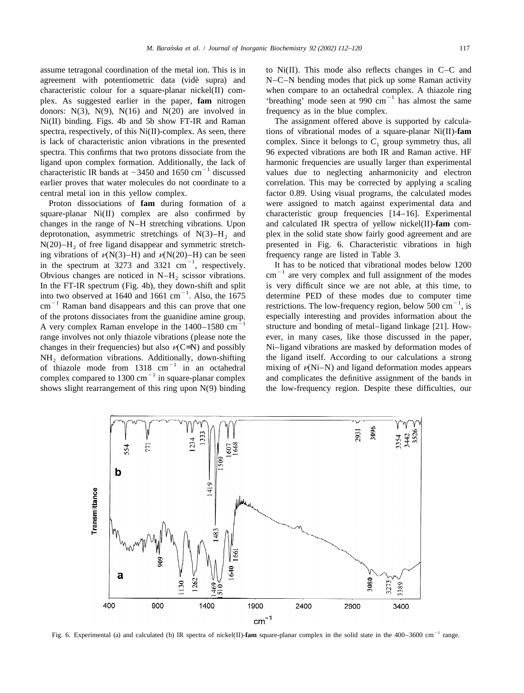agreement with potentiometric data (vide supra) and  $N-C-N$  bending modes that pick up some Raman activity characteristic colour for a square-planar nickel(II) com-<br>plex. As suggested earlier in the paper, **fam** nitrogen the the offer the same  $\mu$  and  $\mu$  and  $\sigma$  is almost the same donors:  $N(3)$ ,  $N(9)$ ,  $N(16)$  and  $N(20)$  are involved in frequency as in the blue complex. Ni(II) binding. Figs. 4b and 5b show FT-IR and Raman The assignment offered above is supported by calculaspectra, respectively, of this Ni(II)-complex. As seen, there tions of vibrational modes of a square-planar Ni(II)-**fam** is lack of characteristic anion vibrations in the presented complex. Since it belongs to  $C_1$  group symmetry thus, all spectra. This confirms that two protons dissociate from the 96 expected vibrations are both IR and Ra ligand upon complex formation. Additionally, the lack of harmonic frequencies are usually larger than experimental characteristic IR bands at  $\sim$  3450 and 1650 cm<sup>-1</sup> discussed values due to neglecting anharmonicity and earlier proves that water molecules do not coordinate to a correlation. This may be corrected by applying a scaling

square-planar  $Ni(II)$  complex are also confirmed by characteristic group frequencies  $[14-16]$ . Experimental changes in the range of N–H stretching vibrations. Upon and calculated IR spectra of yellow nickel(II)-**fam** comdeprotonation, asymmetric stretchings of  $N(3)$ – $H_2$  and plex in the solid state show fairly good agreement and are  $N(20)$ – $H_2$ , of free ligand disappear and symmetric stretch-<br>presented in Fig. 6. Characteristic vibra N(20)–H<sub>2</sub> of free ligand disappear and symmetric stretch-<br>ing vibrations of  $\nu(N(3)-H)$  and  $\nu(N(20)-H)$  can be seen frequency range are listed in Table 3. in the spectrum at 3273 and 3321 cm<sup>-1</sup>, respectively. It has to be noticed that vibrational modes below 1200 Obvious changes are noticed in N–H<sub>2</sub> scissor vibrations. cm<sup>-1</sup> are very complex and full assignment of the modes In the FT-IR spectrum (Fig. 4b), they down-shift and split is very difficult since we are not able, at thi into two observed at 1640 and 1661 cm<sup>-1</sup>. Also, the 1675 determine PED of these modes due to computer time cm<sup>-1</sup> Raman band disappears and this can prove that one restrictions. The low-frequency region, below 500 cm<sup>-1</sup> of the protons dissociates from the guanidine amine group. especially interesting and provides information about the A very complex Raman envelope in the  $1400-1580 \text{ cm}^{-1}$  structure and bonding of metal-ligand linkage [ range involves not only thiazole vibrations (please note the ever, in many cases, like those discussed in the paper, changes in their frequencies) but also  $\nu(C=N)$  and possibly Ni–ligand vibrations are masked by deformation modes of  $NH_2$  deformation vibrations. Additionally, down-shifting<br>of thiazole mode from 1318 cm<sup>-1</sup> in an octahedral mixing of  $\nu(Ni-N)$  and ligand deformation modes appears<br>complex compared to 1300 cm<sup>-1</sup> in square-planar complex shows slight rearrangement of this ring upon N(9) binding the low-frequency region. Despite these difficulties, our

assume tetragonal coordination of the metal ion. This is in to  $Ni(II)$ . This mode also reflects changes in C–C and

96 expected vibrations are both IR and Raman active. HF central metal ion in this yellow complex. factor 0.89. Using visual programs, the calculated modes Proton dissociations of **fam** during formation of a were assigned to match against experimental data and

![](_page_5_Figure_6.jpeg)

Fig. 6. Experimental (a) and calculated (b) IR spectra of nickel(II)-**fam** square-planar complex in the solid state in the 400–3600 cm<sup>-1</sup> range.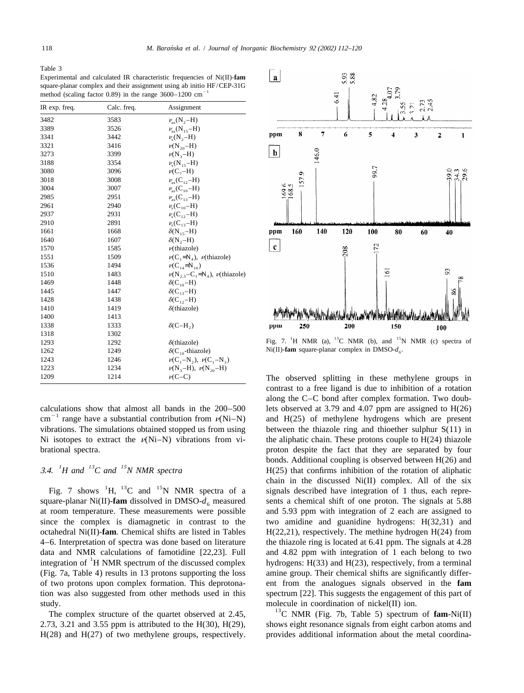Table 3

Experimental and calculated IR characteristic frequencies of Ni(II)-**fam** square-planar complex and their assignment using ab initio HF/CEP-31G method (scaling factor  $0.89$ ) in the range  $3600-1200$  cm

| IR exp. freq. | Calc. freq. | Assignment                                | 2.7<br>က်<br>ကိုက်                                                                              |
|---------------|-------------|-------------------------------------------|-------------------------------------------------------------------------------------------------|
| 3482          | 3583        | $\nu_{\rm as}$ (N <sub>2</sub> -H)        |                                                                                                 |
| 3389          | 3526        | $\nu$ <sub>as</sub> (N <sub>15</sub> -H)  |                                                                                                 |
| 3341          | 3442        | $\nu_{\rm s}({\rm N}_{2}-{\rm H})$        | 8<br>7<br>5<br>6<br>$\overline{2}$<br>ppm<br>3<br>1                                             |
| 3321          | 3416        | $\nu(N_{20}-H)$                           |                                                                                                 |
| 3273          | 3399        | $\nu(N_{3}-H)$                            | 146.0<br>$\mathbf b$                                                                            |
| 3188          | 3354        | $\nu_{\rm s}({\rm N}_{15}-{\rm H})$       |                                                                                                 |
| 3080          | 3096        | $\nu(C, -H)$                              | 99.7                                                                                            |
| 3018          | 3008        | $\nu_{\rm as}$ (C <sub>12</sub> -H)       | 57.9<br>34.29                                                                                   |
| 3004          | 3007        | $\nu_{\rm as}$ (C <sub>10</sub> -H)       | 169.5<br>168.5                                                                                  |
| 2985          | 2951        | $\nu_{\rm as}$ (C <sub>13</sub> -H)       |                                                                                                 |
| 2961          | 2940        | $\nu_{\rm s}$ (C <sub>10</sub> –H)        |                                                                                                 |
| 2937          | 2931        | $\nu_{\rm s}$ (C <sub>12</sub> -H)        |                                                                                                 |
| 2910          | 2891        | $\nu_{\rm s}$ (C <sub>13</sub> –H)        |                                                                                                 |
| 1661          | 1668        | $\delta(N_{15}-H)$                        | 160<br>140<br>120<br>100<br>80<br>ppm<br>60<br>40                                               |
| 1640          | 1607        | $\delta(N,-H)$                            |                                                                                                 |
| 1570          | 1585        | $\nu$ (thiazole)                          | 52<br>$\mathbf c$<br>208                                                                        |
| 1551          | 1509        | $\nu(C_1=N_4)$ , $\nu(\text{thiazole})$   |                                                                                                 |
| 1536          | 1494        | $\nu(C_{14}=N_{16})$                      |                                                                                                 |
| 1510          | 1483        | $\nu(N_{2,3}-C_1=N_4)$ , $\nu$ (thiazole) | 161<br>$\overline{9}$                                                                           |
| 1469          | 1448        | $\delta$ (C <sub>10</sub> –H)             |                                                                                                 |
| 1445          | 1447        | $\delta(C_{13}-H)$                        | $\frac{8}{6}$                                                                                   |
| 1428          | 1438        | $\delta(C_{12}-H)$                        |                                                                                                 |
| 1410          | 1419        | $\delta$ (thiazole)                       |                                                                                                 |
| 1400          | 1413        |                                           |                                                                                                 |
| 1338          | 1333        | $\delta$ (C-H <sub>2</sub> )              | 200<br>250<br>150<br>ppm<br>100                                                                 |
| 1318          | 1302        |                                           |                                                                                                 |
| 1293          | 1292        | $\delta$ (thiazole)                       | Fig. 7. <sup>1</sup> H NMR (a), <sup>13</sup> C NMR (b), and <sup>15</sup> N NMR (c) spectra of |
| 1262          | 1249        | $\delta(C_{10}$ -thiazole)                | Ni(II)-fam square-planar complex in DMSO- $d_6$ .                                               |
| 1243          | 1246        | $\nu(C_1-N_2), \nu(C_1-N_3)$              |                                                                                                 |
| 1223          | 1234        | $\nu(N_3-H), \nu(N_{20}-H)$               |                                                                                                 |
| 1209          | 1214        | $\nu(C-C)$                                | The observed splitting in these methylene groups in                                             |

vibrations. The simulations obtained stopped us from using between the thiazole ring and thioether sulphur  $S(11)$  in Ni isotopes to extract the  $\nu(Ni-N)$  vibrations from vi- the aliphatic chain. These protons couple to H(24) thiazole brational spectra. proton despite the fact that they are separated by four

square-planar Ni(II)-**fam** dissolved in DMSO- $d_6$  measured sents a chemical shift of one proton. The signals at 5.88 at room temperature. These measurements were possible and 5.93 ppm with integration of 2 each are assig since the complex is diamagnetic in contrast to the two amidine and guanidine hydrogens: H(32,31) and octahedral Ni(II)-**fam**. Chemical shifts are listed in Tables H(22,21), respectively. The methine hydrogen H(24) from 4–6. Interpretation of spectra was done based on literature the thiazole ring is located at 6.41 ppm. The signals at 4.28 data and NMR calculations of famotidine [22,23]. Full and 4.82 ppm with integration of 1 each belong to two integration of <sup>1</sup>H NMR spectrum of the discussed complex hydrogens: H(33) and H(23), respectively, from a termin (Fig. 7a, Table 4) results in 13 protons supporting the loss amine group. Their chemical shifts are significantly differof two protons upon complex formation. This deprotona- ent from the analogues signals observed in the **fam** tion was also suggested from other methods used in this spectrum [22]. This suggests the engagement of this part of

![](_page_6_Figure_9.jpeg)

 $Ni(II)$ -**fam** square-planar complex in DMSO- $d_{\epsilon}$ .

The observed splitting in these methylene groups in contrast to a free ligand is due to inhibition of a rotation along the C–C bond after complex formation. Two doubcalculations show that almost all bands in the 200–500 lets observed at 3.79 and 4.07 ppm are assigned to H(26) cm<sup>-1</sup> range have a substantial contribution from  $\nu$ (Ni–N) and H(25) of methylene hydrogens which are prese bonds. Additional coupling is observed between H(26) and 3.4. <sup>*H*</sup> *H* and <sup>13</sup>C and <sup>15</sup>N NMR spectra **H**(25) that confirms inhibition of the rotation of aliphatic chain in the discussed Ni(II) complex. All of the six  $\text{Fig. 7 shows } ^1\text{H}$ ,  $^{13}\text{C}$  and  $^{15}\text{N}$  NMR spectra of a signals described have integration of 1 thus, each repreand 5.93 ppm with integration of 2 each are assigned to study.<br>The complex structure of the quartet observed at 2.45, <sup>13</sup>C NMR (Fig. 7b, Table 5) spectrum of **fam**-Ni(II)

2.73, 3.21 and 3.55 ppm is attributed to the H(30), H(29), shows eight resonance signals from eight carbon atoms and H(28) and H(27) of two methylene groups, respectively. provides additional information about the metal coordina-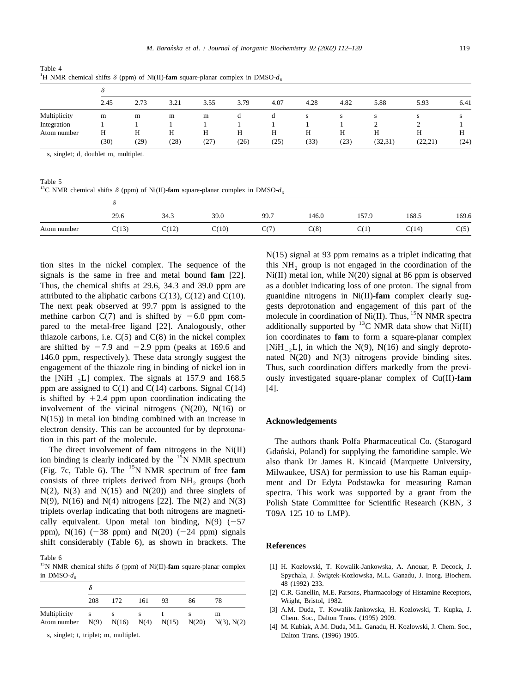| Table 4                                                                                              |  |  |
|------------------------------------------------------------------------------------------------------|--|--|
| <sup>1</sup> H NMR chemical shifts $\delta$ (ppm) of Ni(II)-fam square-planar complex in DMSO- $d_6$ |  |  |

|              | 2.45 | 2.73 | 3.21 | 3.55 | 3.79 | 4.07 | 4.28 | 4.82 | 5.88     | 5.93     | 6.41 |
|--------------|------|------|------|------|------|------|------|------|----------|----------|------|
| Multiplicity | m    | m    | m    | m    |      | u    | S    | S    | S        | C.       |      |
| Integration  |      |      |      |      |      |      |      |      |          |          |      |
| Atom number  | H    | Н    |      | Н    | Н    | Н    | Н    | Н    | Н        | H        | Н    |
|              | (30) | (29) | (28) | (27) | (26) | (25) | (33) | (23) | (32, 31) | (22, 21) | (24) |

s, singlet; d, doublet m, multiplet.

Table 5

<sup>13</sup>C NMR chemical shifts  $\delta$  (ppm) of Ni(II)-**fam** square-planar complex in DMSO- $d_6$ 

|             | 29.6  | 34.3  | 39.0  | 99.7 | 146.0 | 157.9 | 168.5 | 169.6 |  |  |
|-------------|-------|-------|-------|------|-------|-------|-------|-------|--|--|
| Atom number | C(13) | C(12) | C(10) | C(7) | C(8)  | C(1)  | C(14) | C(5)  |  |  |

tion sites in the nickel complex. The sequence of the this  $NH_2$  group is not engaged in the coordination of the signals is the same in free and metal bound  $fam$  [22]. Ni(II) metal ion, while N(20) signal at 86 ppm is obs Thus, the chemical shifts at 29.6, 34.3 and 39.0 ppm are as a doublet indicating loss of one proton. The signal from attributed to the aliphatic carbons C(13), C(12) and C(10). guanidine nitrogens in Ni(II)-**fam** complex clearly sug-The next peak observed at 99.7 ppm is assigned to the gests deprotonation and engagement of this part of the methine carbon C(7) and is shifted by  $-6.0$  ppm componential part of Ni(II). Thus, <sup>15</sup>N NMR spectra pared to t thiazole carbons, i.e. C(5) and C(8) in the nickel complex ion coordinates to **fam** to form a square-planar complex are shifted by  $-7.9$  and  $-2.9$  ppm (peaks at 169.6 and [NiH<sub>-2</sub>L], in which the N(9), N(16) and singly deproto-<br>146.0 ppm, respectively). These data strongly suggest the nated N(20) and N(3) nitrogens provide binding si engagement of the thiazole ring in binding of nickel ion in Thus, such coordination differs markedly from the previthe  $[NiH_A L]$  complex. The signals at 157.9 and 168.5 ously investigated square-planar complex of Cu(II)- $f$ am ppm are assigned to  $C(1)$  and  $C(14)$  carbons. Signal  $C(14)$  [4]. is shifted by  $+2.4$  ppm upon coordination indicating the involvement of the vicinal nitrogens (N(20), N(16) or N(15)) in metal ion binding combined with an increase in **Acknowledgements** electron density. This can be accounted for by deprotona-

triplets overlap indicating that both nitrogens are magneti- T09A 125 10 to LMP). cally equivalent. Upon metal ion binding,  $N(9)$  (-57 ppm), N(16) ( $-38$  ppm) and N(20) ( $-24$  ppm) signals shift considerably (Table 6), as shown in brackets. The **References**

Table 6

| $\cdots$ $\cdots$ $\cdots$ $\cdots$ $\cdots$ $\cdots$ |      |                |     |                 |    |                      |  |  |  |  |
|-------------------------------------------------------|------|----------------|-----|-----------------|----|----------------------|--|--|--|--|
|                                                       |      |                |     |                 |    |                      |  |  |  |  |
|                                                       | 208  | 172            | 161 | 93              | 86 | 78                   |  |  |  |  |
| Multiplicity<br>Atom number                           | N(9) | $N(16)$ $N(4)$ | s   | $N(15)$ $N(20)$ |    | m<br>$N(3)$ , $N(2)$ |  |  |  |  |

N(15) signal at 93 ppm remains as a triplet indicating that Ni(II) metal ion, while N(20) signal at 86 ppm is observed nated  $N(20)$  and  $N(3)$  nitrogens provide binding sites.

tion in this part of the molecule.<br>The authors thank Polfa Pharmaceutical Co. (Starogard<br>The direct involvement of **fam** nitrogens in the Ni(II) Gdański Poland) for supplying the famotidine sample We The direct involvement of **fam** nitrogens in the Ni(II) Gdański, Poland) for supplying the famotidine sample. We<br>ion binding is clearly indicated by the <sup>15</sup>N NMR spectrum<br>(Fig. 7c, Table 6). The <sup>15</sup>N NMR spectrum of fre consists of three triplets derived from  $NH_2$  groups (both 2 ment and Dr Edyta Podstawka for measuring Raman N(2), N(3) and N(15) and N(20)) and three singlets of spectra. This work was supported by a grant from the N(2), N(3) and N(15) and N(20)) and three singlets of spectra. This work was supported by a grant from the N(9), N(16) and N(4) nitrogens [22]. The N(2) and N(3) Polish State Committee for Scientific Research (KBN 3) Polish State Committee for Scientific Research (KBN, 3)

- <sup>15</sup>N NMR chemical shifts  $\delta$  (ppm) of Ni(II)-**fam** square-planar complex [1] H. Kozlowski, T. Kowalik-Jankowska, A. Anouar, P. Decock, J.  $\frac{1}{100}$  in DMSO- $d_6$ <br>Spychala, J. Świątek-Kozłowska, M.L. Ganadu, J. Inorg. Biochem. 48 (1992) 233.
	- [2] C.R. Ganellin, M.E. Parsons, Pharmacology of Histamine Receptors, Wright, Bristol, 1982.
	- [3] A.M. Duda, T. Kowalik-Jankowska, H. Kozlowski, T. Kupka, J. Chem. Soc., Dalton Trans. (1995) 2909.<br>[4] M. Kubiak, A.M. Duda, M.L. Ganadu, H. Kozlowski, J. Chem. Soc.,
	- s, singlet; t, triplet; m, multiplet. Dalton Trans. (1996) 1905.